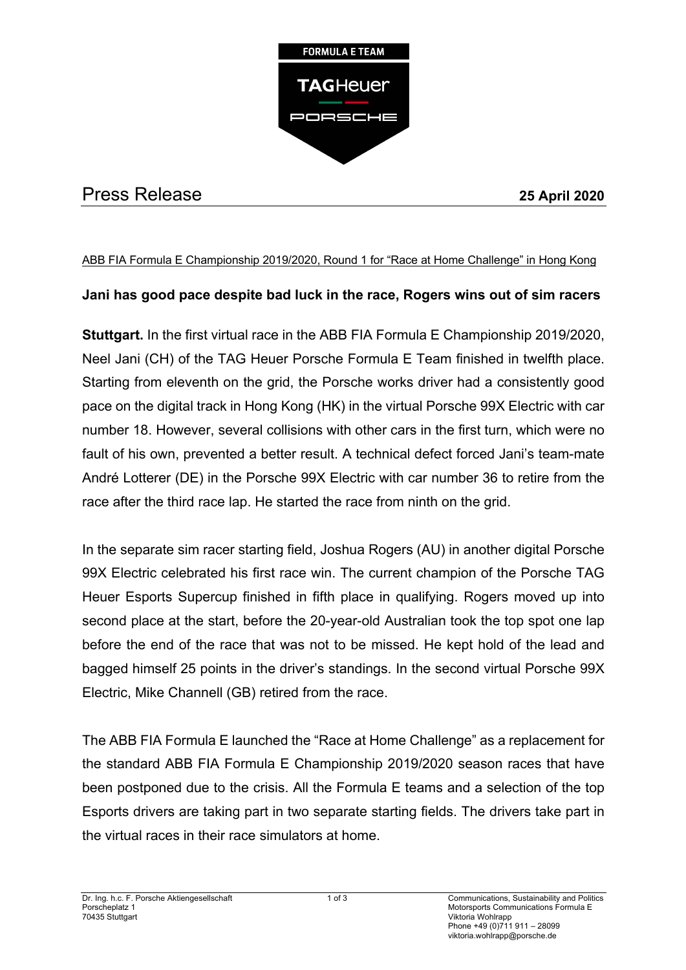

# Press Release **25 April 2020**

### ABB FIA Formula E Championship 2019/2020, Round 1 for "Race at Home Challenge" in Hong Kong

## **Jani has good pace despite bad luck in the race, Rogers wins out of sim racers**

**Stuttgart.** In the first virtual race in the ABB FIA Formula E Championship 2019/2020, Neel Jani (CH) of the TAG Heuer Porsche Formula E Team finished in twelfth place. Starting from eleventh on the grid, the Porsche works driver had a consistently good pace on the digital track in Hong Kong (HK) in the virtual Porsche 99X Electric with car number 18. However, several collisions with other cars in the first turn, which were no fault of his own, prevented a better result. A technical defect forced Jani's team-mate André Lotterer (DE) in the Porsche 99X Electric with car number 36 to retire from the race after the third race lap. He started the race from ninth on the grid.

In the separate sim racer starting field, Joshua Rogers (AU) in another digital Porsche 99X Electric celebrated his first race win. The current champion of the Porsche TAG Heuer Esports Supercup finished in fifth place in qualifying. Rogers moved up into second place at the start, before the 20-year-old Australian took the top spot one lap before the end of the race that was not to be missed. He kept hold of the lead and bagged himself 25 points in the driver's standings. In the second virtual Porsche 99X Electric, Mike Channell (GB) retired from the race.

The ABB FIA Formula E launched the "Race at Home Challenge" as a replacement for the standard ABB FIA Formula E Championship 2019/2020 season races that have been postponed due to the crisis. All the Formula E teams and a selection of the top Esports drivers are taking part in two separate starting fields. The drivers take part in the virtual races in their race simulators at home.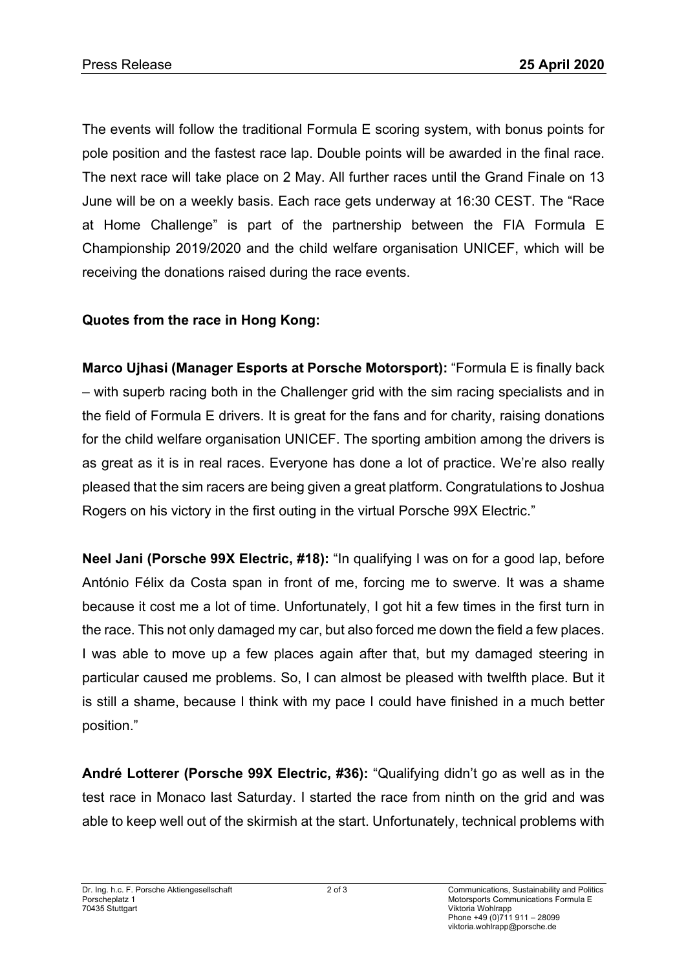The events will follow the traditional Formula E scoring system, with bonus points for pole position and the fastest race lap. Double points will be awarded in the final race. The next race will take place on 2 May. All further races until the Grand Finale on 13 June will be on a weekly basis. Each race gets underway at 16:30 CEST. The "Race at Home Challenge" is part of the partnership between the FIA Formula E Championship 2019/2020 and the child welfare organisation UNICEF, which will be receiving the donations raised during the race events.

# **Quotes from the race in Hong Kong:**

**Marco Ujhasi (Manager Esports at Porsche Motorsport):** "Formula E is finally back – with superb racing both in the Challenger grid with the sim racing specialists and in the field of Formula E drivers. It is great for the fans and for charity, raising donations for the child welfare organisation UNICEF. The sporting ambition among the drivers is as great as it is in real races. Everyone has done a lot of practice. We're also really pleased that the sim racers are being given a great platform. Congratulations to Joshua Rogers on his victory in the first outing in the virtual Porsche 99X Electric."

**Neel Jani (Porsche 99X Electric, #18):** "In qualifying I was on for a good lap, before António Félix da Costa span in front of me, forcing me to swerve. It was a shame because it cost me a lot of time. Unfortunately, I got hit a few times in the first turn in the race. This not only damaged my car, but also forced me down the field a few places. I was able to move up a few places again after that, but my damaged steering in particular caused me problems. So, I can almost be pleased with twelfth place. But it is still a shame, because I think with my pace I could have finished in a much better position."

**André Lotterer (Porsche 99X Electric, #36):** "Qualifying didn't go as well as in the test race in Monaco last Saturday. I started the race from ninth on the grid and was able to keep well out of the skirmish at the start. Unfortunately, technical problems with